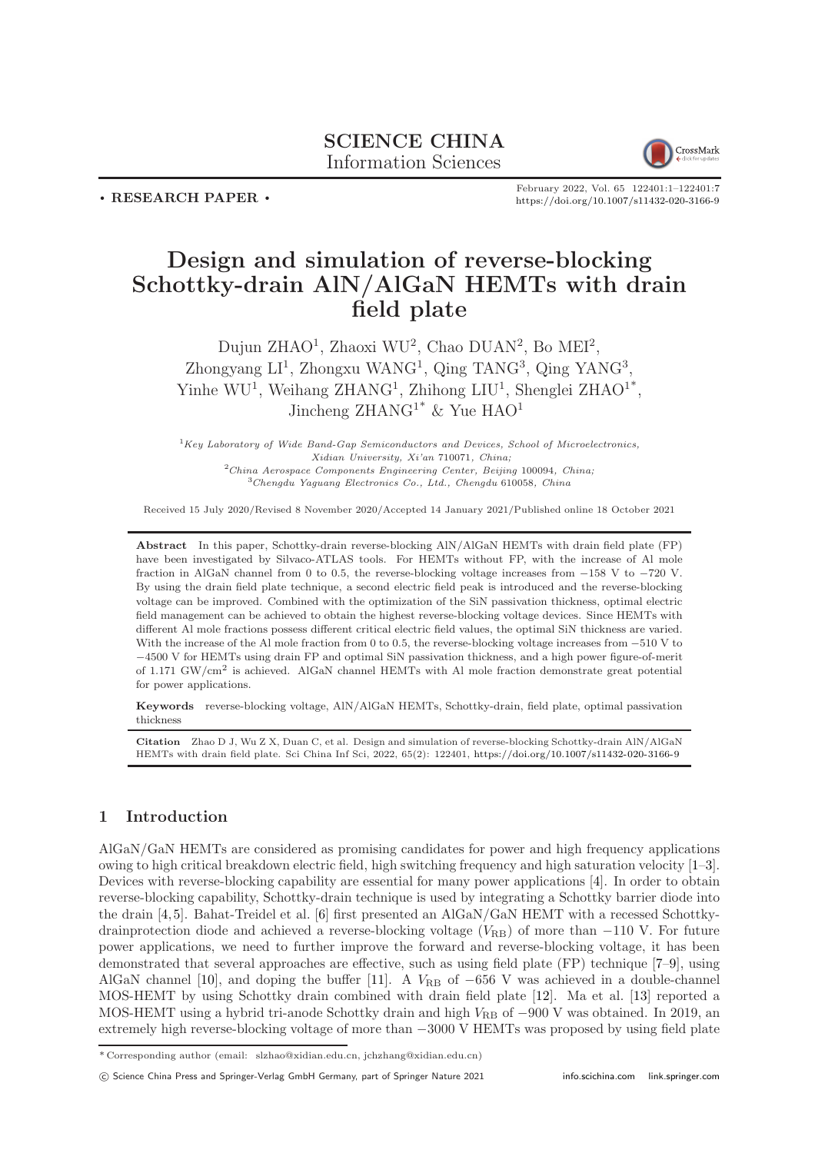# SCIENCE CHINA Information Sciences



. RESEARCH PAPER .

February 2022, Vol. 65 122401:1–122401[:7](#page-6-0) <https://doi.org/10.1007/s11432-020-3166-9>

# Design and simulation of reverse-blocking Schottky-drain AlN/AlGaN HEMTs with drain field plate

Dujun ZHAO<sup>1</sup>, Zhaoxi WU<sup>2</sup>, Chao DUAN<sup>2</sup>, Bo MEI<sup>2</sup>, Zhongyang LI<sup>1</sup>, Zhongxu WANG<sup>1</sup>, Qing TANG<sup>3</sup>, Qing YANG<sup>3</sup>, Yinhe WU<sup>1</sup>, Weihang ZHANG<sup>1</sup>, Zhihong LIU<sup>1</sup>, Shenglei ZHAO<sup>1\*</sup>, Jincheng  $ZHANG^{1*}$  & Yue  $HAO^{1}$ 

 ${}^{1}$ Key Laboratory of Wide Band-Gap Semiconductors and Devices, School of Microelectronics, Xidian University, Xi'an 710071, China;  $2$ China Aerospace Components Engineering Center, Beijing 100094, China; <sup>3</sup>Chengdu Yaguang Electronics Co., Ltd., Chengdu 610058, China

Received 15 July 2020/Revised 8 November 2020/Accepted 14 January 2021/Published online 18 October 2021

Abstract In this paper, Schottky-drain reverse-blocking AlN/AlGaN HEMTs with drain field plate (FP) have been investigated by Silvaco-ATLAS tools. For HEMTs without FP, with the increase of Al mole fraction in AlGaN channel from 0 to 0.5, the reverse-blocking voltage increases from −158 V to −720 V. By using the drain field plate technique, a second electric field peak is introduced and the reverse-blocking voltage can be improved. Combined with the optimization of the SiN passivation thickness, optimal electric field management can be achieved to obtain the highest reverse-blocking voltage devices. Since HEMTs with different Al mole fractions possess different critical electric field values, the optimal SiN thickness are varied. With the increase of the Al mole fraction from 0 to 0.5, the reverse-blocking voltage increases from −510 V to −4500 V for HEMTs using drain FP and optimal SiN passivation thickness, and a high power figure-of-merit of 1.171 GW/cm<sup>2</sup> is achieved. AlGaN channel HEMTs with Al mole fraction demonstrate great potential for power applications.

Keywords reverse-blocking voltage, AlN/AlGaN HEMTs, Schottky-drain, field plate, optimal passivation thickness

Citation Zhao D J, Wu Z X, Duan C, et al. Design and simulation of reverse-blocking Schottky-drain AlN/AlGaN HEMTs with drain field plate. Sci China Inf Sci, 2022, 65(2): 122401, <https://doi.org/10.1007/s11432-020-3166-9>

## 1 Introduction

AlGaN/GaN HEMTs are considered as promising candidates for power and high frequency applications owing to high critical breakdown electric field, high switching frequency and high saturation velocity [\[1](#page-6-1)[–3\]](#page-6-2). Devices with reverse-blocking capability are essential for many power applications [\[4\]](#page-6-3). In order to obtain reverse-blocking capability, Schottky-drain technique is used by integrating a Schottky barrier diode into the drain [\[4,](#page-6-3)[5\]](#page-6-4). Bahat-Treidel et al. [\[6\]](#page-6-5) first presented an AlGaN/GaN HEMT with a recessed Schottkydrainprotection diode and achieved a reverse-blocking voltage ( $V_{\rm RB}$ ) of more than  $-110$  V. For future power applications, we need to further improve the forward and reverse-blocking voltage, it has been demonstrated that several approaches are effective, such as using field plate (FP) technique [\[7–](#page-6-6)[9\]](#page-6-7), using AlGaN channel [\[10\]](#page-6-8), and doping the buffer [\[11\]](#page-6-9). A  $V_{RB}$  of  $-656$  V was achieved in a double-channel MOS-HEMT by using Schottky drain combined with drain field plate [\[12\]](#page-6-10). Ma et al. [\[13\]](#page-6-11) reported a MOS-HEMT using a hybrid tri-anode Schottky drain and high  $V_{RB}$  of  $-900$  V was obtained. In 2019, an extremely high reverse-blocking voltage of more than −3000 V HEMTs was proposed by using field plate

<sup>\*</sup> Corresponding author (email: slzhao@xidian.edu.cn, jchzhang@xidian.edu.cn)

c Science China Press and Springer-Verlag GmbH Germany, part of Springer Nature 2021 <info.scichina.com><link.springer.com>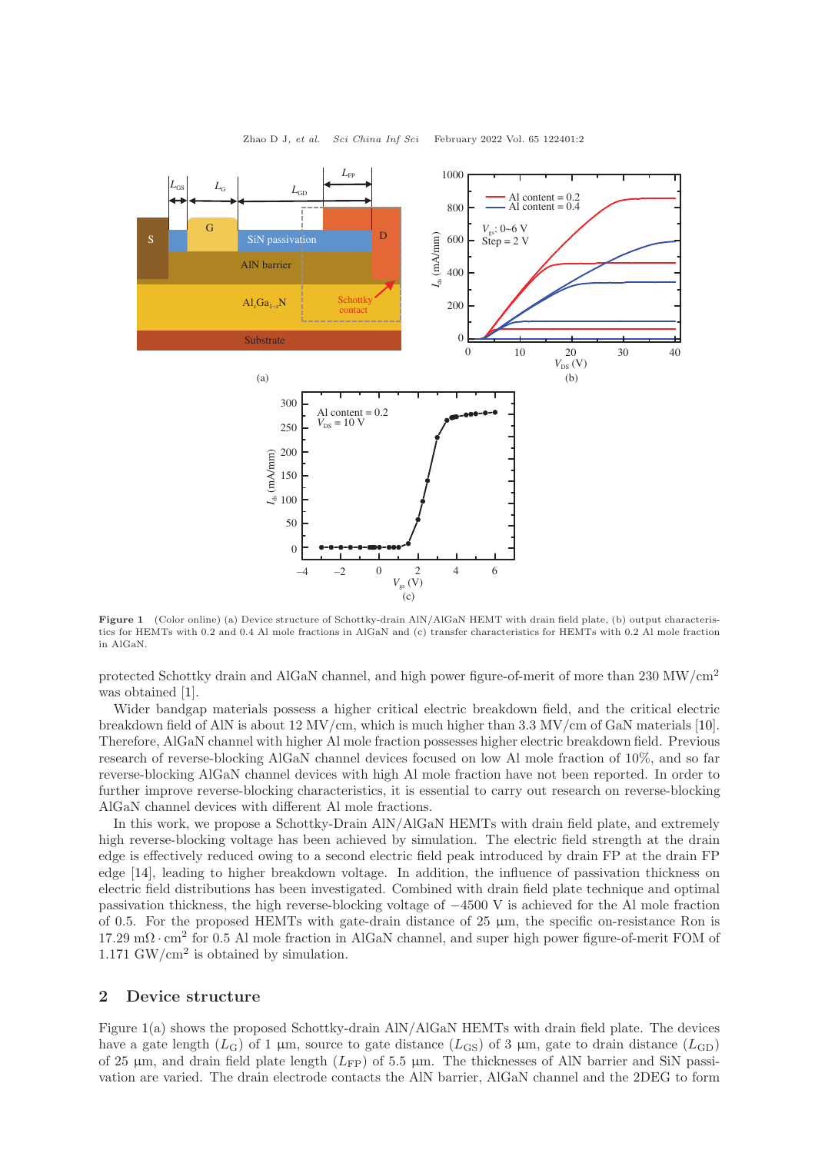<span id="page-1-0"></span>

Zhao D J, et al. Sci China Inf Sci February 2022 Vol. 65 122401:2

Figure 1 (Color online) (a) Device structure of Schottky-drain AlN/AlGaN HEMT with drain field plate, (b) output characteristics for HEMTs with 0.2 and 0.4 Al mole fractions in AlGaN and (c) transfer characteristics for HEMTs with 0.2 Al mole fraction in AlGaN.

protected Schottky drain and AlGaN channel, and high power figure-of-merit of more than  $230 \text{ MW/cm}^2$ was obtained [\[1\]](#page-6-1).

Wider bandgap materials possess a higher critical electric breakdown field, and the critical electric breakdown field of AlN is about 12 MV/cm, which is much higher than 3.3 MV/cm of GaN materials [\[10\]](#page-6-8). Therefore, AlGaN channel with higher Al mole fraction possesses higher electric breakdown field. Previous research of reverse-blocking AlGaN channel devices focused on low Al mole fraction of 10%, and so far reverse-blocking AlGaN channel devices with high Al mole fraction have not been reported. In order to further improve reverse-blocking characteristics, it is essential to carry out research on reverse-blocking AlGaN channel devices with different Al mole fractions.

In this work, we propose a Schottky-Drain AlN/AlGaN HEMTs with drain field plate, and extremely high reverse-blocking voltage has been achieved by simulation. The electric field strength at the drain edge is effectively reduced owing to a second electric field peak introduced by drain FP at the drain FP edge [\[14\]](#page-6-12), leading to higher breakdown voltage. In addition, the influence of passivation thickness on electric field distributions has been investigated. Combined with drain field plate technique and optimal passivation thickness, the high reverse-blocking voltage of −4500 V is achieved for the Al mole fraction of 0.5. For the proposed HEMTs with gate-drain distance of 25  $\mu$ m, the specific on-resistance Ron is 17.29 mΩ · cm<sup>2</sup> for 0.5 Al mole fraction in AlGaN channel, and super high power figure-of-merit FOM of 1.171  $\text{GW/cm}^2$  is obtained by simulation.

### 2 Device structure

Figure [1\(](#page-1-0)a) shows the proposed Schottky-drain AlN/AlGaN HEMTs with drain field plate. The devices have a gate length  $(L_G)$  of 1 µm, source to gate distance  $(L_{GS})$  of 3 µm, gate to drain distance  $(L_{GD})$ of 25  $\mu$ m, and drain field plate length ( $L_{FP}$ ) of 5.5  $\mu$ m. The thicknesses of AlN barrier and SiN passivation are varied. The drain electrode contacts the AlN barrier, AlGaN channel and the 2DEG to form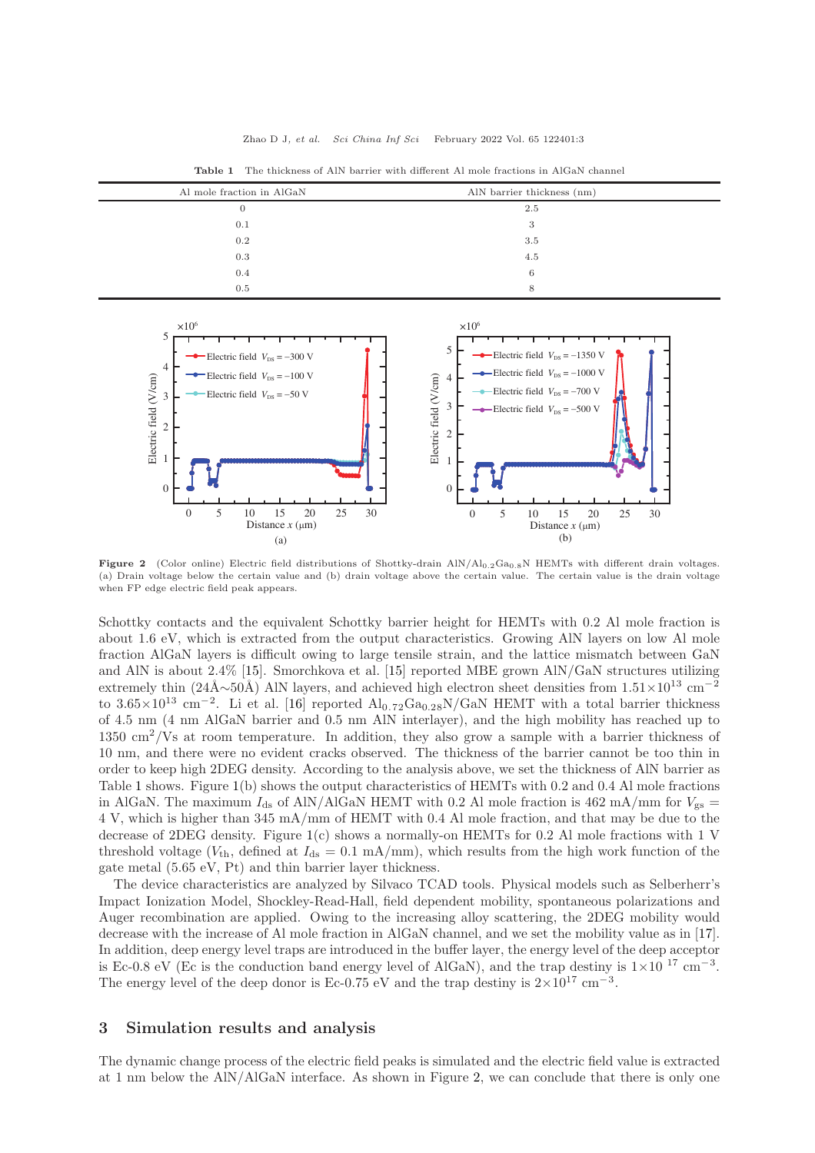<span id="page-2-0"></span>

| Al mole fraction in AlGaN | AlN barrier thickness (nm) |  |
|---------------------------|----------------------------|--|
| 0                         | 2.5                        |  |
| 0.1                       | 3                          |  |
| 0.2                       | 3.5                        |  |
| 0.3                       | 4.5                        |  |
| 0.4                       | 6                          |  |
| 0.5                       | 8                          |  |

Table 1 The thickness of AlN barrier with different Al mole fractions in AlGaN channel

<span id="page-2-1"></span>

Figure 2 (Color online) Electric field distributions of Shottky-drain AlN/Al<sub>0.2</sub>Ga<sub>0.8</sub>N HEMTs with different drain voltages. (a) Drain voltage below the certain value and (b) drain voltage above the certain value. The certain value is the drain voltage when FP edge electric field peak appears.

Schottky contacts and the equivalent Schottky barrier height for HEMTs with 0.2 Al mole fraction is about 1.6 eV, which is extracted from the output characteristics. Growing AlN layers on low Al mole fraction AlGaN layers is difficult owing to large tensile strain, and the lattice mismatch between GaN and AlN is about 2.4% [\[15\]](#page-6-13). Smorchkova et al. [\[15\]](#page-6-13) reported MBE grown AlN/GaN structures utilizing extremely thin (24Å∼50Å) AlN layers, and achieved high electron sheet densities from  $1.51\times10^{13}$  cm<sup>-2</sup> to  $3.65\times10^{13}$  cm<sup>-2</sup>. Li et al. [\[16\]](#page-6-14) reported Al<sub>0.72</sub>Ga<sub>0.28</sub>N/GaN HEMT with a total barrier thickness of 4.5 nm (4 nm AlGaN barrier and 0.5 nm AlN interlayer), and the high mobility has reached up to 1350 cm<sup>2</sup>/Vs at room temperature. In addition, they also grow a sample with a barrier thickness of 10 nm, and there were no evident cracks observed. The thickness of the barrier cannot be too thin in order to keep high 2DEG density. According to the analysis above, we set the thickness of AlN barrier as Table [1](#page-2-0) shows. Figure [1\(](#page-1-0)b) shows the output characteristics of HEMTs with 0.2 and 0.4 Al mole fractions in AlGaN. The maximum  $I_{ds}$  of AlN/AlGaN HEMT with 0.2 Al mole fraction is 462 mA/mm for  $V_{gs}$  = 4 V, which is higher than 345 mA/mm of HEMT with 0.4 Al mole fraction, and that may be due to the decrease of 2DEG density. Figure  $1(c)$  $1(c)$  shows a normally-on HEMTs for 0.2 Al mole fractions with 1 V threshold voltage ( $V_{\text{th}}$ , defined at  $I_{\text{ds}} = 0.1 \text{ mA/mm}$ ), which results from the high work function of the gate metal (5.65 eV, Pt) and thin barrier layer thickness.

The device characteristics are analyzed by Silvaco TCAD tools. Physical models such as Selberherr's Impact Ionization Model, Shockley-Read-Hall, field dependent mobility, spontaneous polarizations and Auger recombination are applied. Owing to the increasing alloy scattering, the 2DEG mobility would decrease with the increase of Al mole fraction in AlGaN channel, and we set the mobility value as in [\[17\]](#page-6-15). In addition, deep energy level traps are introduced in the buffer layer, the energy level of the deep acceptor is Ec-0.8 eV (Ec is the conduction band energy level of AlGaN), and the trap destiny is  $1\times10^{-17}$  cm<sup>-3</sup>. The energy level of the deep donor is Ec-0.75 eV and the trap destiny is  $2 \times 10^{17}$  cm<sup>-3</sup>.

#### 3 Simulation results and analysis

The dynamic change process of the electric field peaks is simulated and the electric field value is extracted at 1 nm below the AlN/AlGaN interface. As shown in Figure [2,](#page-2-1) we can conclude that there is only one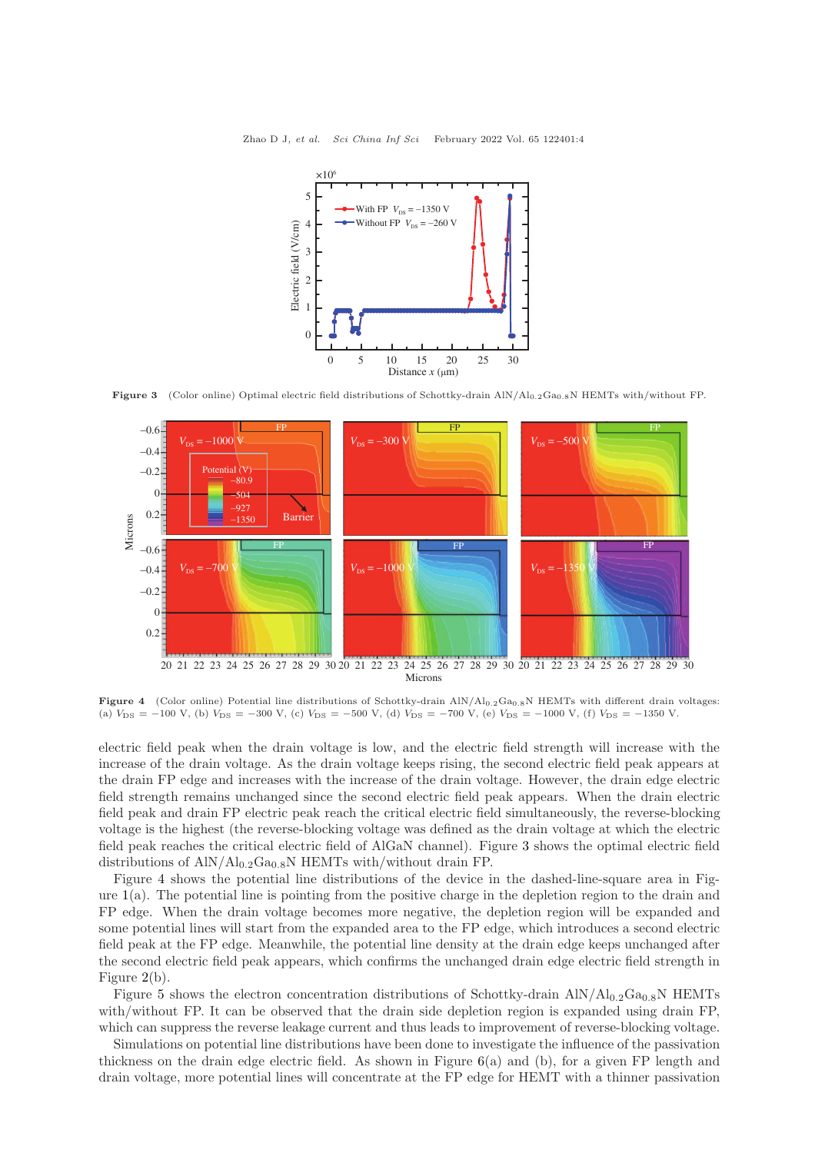<span id="page-3-0"></span>Zhao D J, et al. Sci China Inf Sci February 2022 Vol. 65 122401:4



<span id="page-3-1"></span>Figure 3 (Color online) Optimal electric field distributions of Schottky-drain AlN/Al0.2Ga0.8N HEMTs with/without FP.



Figure 4 (Color online) Potential line distributions of Schottky-drain AlN/Al<sub>0.2</sub>Ga<sub>0.8</sub>N HEMTs with different drain voltages: (a)  $V_{\text{DS}} = -100 \text{ V}$ , (b)  $V_{\text{DS}} = -300 \text{ V}$ , (c)  $V_{\text{DS}} = -500 \text{ V}$ , (d)  $V_{\text{DS}} = -700 \text{ V}$ , (e)  $V_{\text{DS}} = -1000 \text{ V}$ , (f)  $V_{\text{DS}} = -1350 \text{ V}$ .

electric field peak when the drain voltage is low, and the electric field strength will increase with the increase of the drain voltage. As the drain voltage keeps rising, the second electric field peak appears at the drain FP edge and increases with the increase of the drain voltage. However, the drain edge electric field strength remains unchanged since the second electric field peak appears. When the drain electric field peak and drain FP electric peak reach the critical electric field simultaneously, the reverse-blocking voltage is the highest (the reverse-blocking voltage was defined as the drain voltage at which the electric field peak reaches the critical electric field of AlGaN channel). Figure [3](#page-3-0) shows the optimal electric field distributions of  $\text{AlN}/\text{Al}_{0.2}\text{Ga}_{0.8}\text{N}$  HEMTs with/without drain FP.

Figure [4](#page-3-1) shows the potential line distributions of the device in the dashed-line-square area in Figure  $1(a)$  $1(a)$ . The potential line is pointing from the positive charge in the depletion region to the drain and FP edge. When the drain voltage becomes more negative, the depletion region will be expanded and some potential lines will start from the expanded area to the FP edge, which introduces a second electric field peak at the FP edge. Meanwhile, the potential line density at the drain edge keeps unchanged after the second electric field peak appears, which confirms the unchanged drain edge electric field strength in Figure [2\(](#page-2-1)b).

Figure [5](#page-4-0) shows the electron concentration distributions of Schottky-drain  $AlN/Al<sub>0.2</sub>Ga<sub>0.8</sub>N$  HEMTs with/without FP. It can be observed that the drain side depletion region is expanded using drain FP, which can suppress the reverse leakage current and thus leads to improvement of reverse-blocking voltage.

Simulations on potential line distributions have been done to investigate the influence of the passivation thickness on the drain edge electric field. As shown in Figure  $6(a)$  $6(a)$  and (b), for a given FP length and drain voltage, more potential lines will concentrate at the FP edge for HEMT with a thinner passivation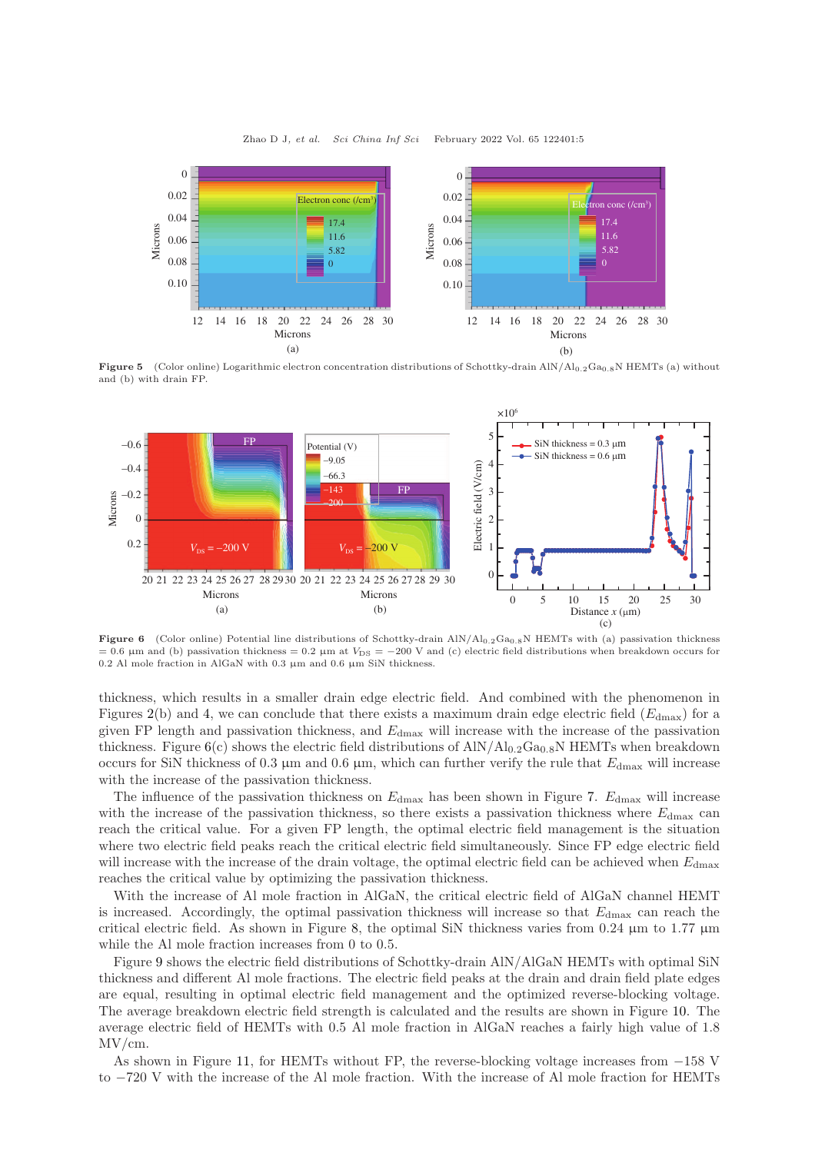Zhao D J, et al. Sci China Inf Sci February 2022 Vol. 65 122401:5

<span id="page-4-0"></span>

Figure 5 (Color online) Logarithmic electron concentration distributions of Schottky-drain  $AlN/Al_{0.2}Ga_{0.8}N$  HEMTs (a) without and (b) with drain FP.

<span id="page-4-1"></span>

Figure 6 (Color online) Potential line distributions of Schottky-drain AlN/Al<sub>0.2</sub>Ga<sub>0.8</sub>N HEMTs with (a) passivation thickness  $= 0.6 \mu$ m and (b) passivation thickness = 0.2  $\mu$ m at  $V_{DS} = -200$  V and (c) electric field distributions when breakdown occurs for 0.2 Al mole fraction in AlGaN with 0.3  $\mu$ m and 0.6  $\mu$ m SiN thickness.

thickness, which results in a smaller drain edge electric field. And combined with the phenomenon in Figures [2\(](#page-2-1)b) and [4,](#page-3-1) we can conclude that there exists a maximum drain edge electric field  $(E_{\text{dmax}})$  for a given FP length and passivation thickness, and  $E_{\text{dmax}}$  will increase with the increase of the passivation thickness. Figure  $6(c)$  $6(c)$  shows the electric field distributions of  $AlN/Al_{0.2}Ga_{0.8}N$  HEMTs when breakdown occurs for SiN thickness of 0.3  $\mu$ m and 0.6  $\mu$ m, which can further verify the rule that  $E_{\text{dmax}}$  will increase with the increase of the passivation thickness.

The influence of the passivation thickness on  $E_{\text{dmax}}$  has been shown in Figure [7.](#page-5-0)  $E_{\text{dmax}}$  will increase with the increase of the passivation thickness, so there exists a passivation thickness where  $E_{\text{dmax}}$  can reach the critical value. For a given FP length, the optimal electric field management is the situation where two electric field peaks reach the critical electric field simultaneously. Since FP edge electric field will increase with the increase of the drain voltage, the optimal electric field can be achieved when  $E_{\text{dmax}}$ reaches the critical value by optimizing the passivation thickness.

With the increase of Al mole fraction in AlGaN, the critical electric field of AlGaN channel HEMT is increased. Accordingly, the optimal passivation thickness will increase so that  $E_{\text{dmax}}$  can reach the critical electric field. As shown in Figure [8,](#page-5-0) the optimal SiN thickness varies from  $0.24 \mu m$  to  $1.77 \mu m$ while the Al mole fraction increases from 0 to 0.5.

Figure [9](#page-5-1) shows the electric field distributions of Schottky-drain AlN/AlGaN HEMTs with optimal SiN thickness and different Al mole fractions. The electric field peaks at the drain and drain field plate edges are equal, resulting in optimal electric field management and the optimized reverse-blocking voltage. The average breakdown electric field strength is calculated and the results are shown in Figure [10.](#page-5-1) The average electric field of HEMTs with 0.5 Al mole fraction in AlGaN reaches a fairly high value of 1.8 MV/cm.

As shown in Figure [11,](#page-5-2) for HEMTs without FP, the reverse-blocking voltage increases from −158 V to −720 V with the increase of the Al mole fraction. With the increase of Al mole fraction for HEMTs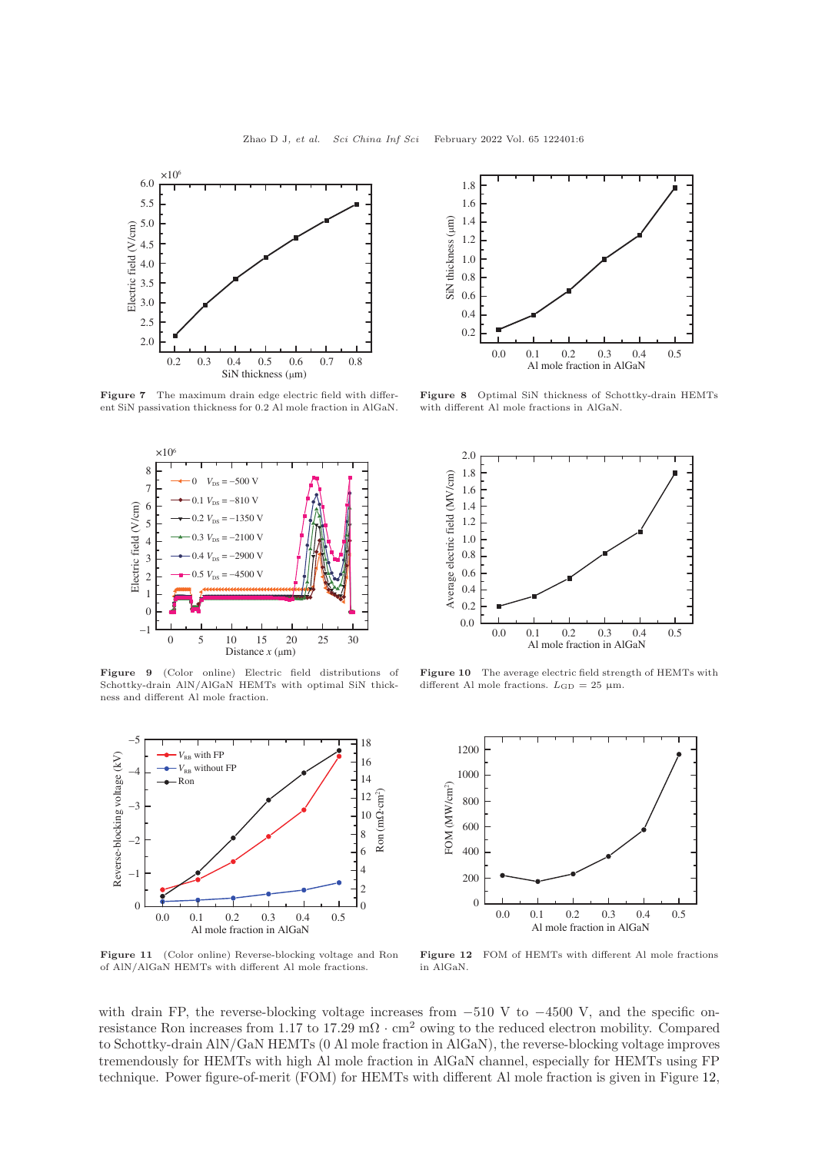<span id="page-5-0"></span>

Figure 7 The maximum drain edge electric field with different SiN passivation thickness for 0.2 Al mole fraction in AlGaN.

<span id="page-5-1"></span>

Figure 9 (Color online) Electric field distributions of Schottky-drain AlN/AlGaN HEMTs with optimal SiN thickness and different Al mole fraction.

<span id="page-5-2"></span>

Figure 11 (Color online) Reverse-blocking voltage and Ron of AlN/AlGaN HEMTs with different Al mole fractions.

with drain FP, the reverse-blocking voltage increases from  $-510$  V to  $-4500$  V, and the specific onresistance Ron increases from 1.17 to  $17.29 \text{ m}\Omega \cdot \text{cm}^2$  owing to the reduced electron mobility. Compared to Schottky-drain AlN/GaN HEMTs (0 Al mole fraction in AlGaN), the reverse-blocking voltage improves tremendously for HEMTs with high Al mole fraction in AlGaN channel, especially for HEMTs using FP technique. Power figure-of-merit (FOM) for HEMTs with different Al mole fraction is given in Figure [12,](#page-5-2)



Figure 8 Optimal SiN thickness of Schottky-drain HEMTs with different Al mole fractions in AlGaN.



Figure 10 The average electric field strength of HEMTs with different Al mole fractions.  $L_{GD} = 25 \text{ }\mu\text{m}$ .



Figure 12 FOM of HEMTs with different Al mole fractions in AlGaN.